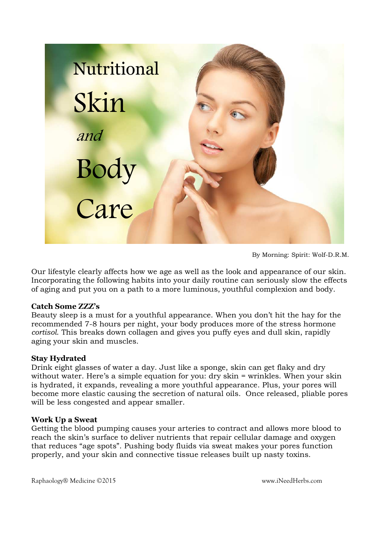

By Morning: Spirit: Wolf-D.R.M.

Our lifestyle clearly affects how we age as well as the look and appearance of our skin. Incorporating the following habits into your daily routine can seriously slow the effects of aging and put you on a path to a more luminous, youthful complexion and body.

### **Catch Some ZZZ's**

Beauty sleep is a must for a youthful appearance. When you don't hit the hay for the recommended 7-8 hours per night, your body produces more of the stress hormone *cortisol*. This breaks down collagen and gives you puffy eyes and dull skin, rapidly aging your skin and muscles.

### **Stay Hydrated**

Drink eight glasses of water a day. Just like a sponge, skin can get flaky and dry without water. Here's a simple equation for you: dry skin = wrinkles. When your skin is hydrated, it expands, revealing a more youthful appearance. Plus, your pores will become more elastic causing the secretion of natural oils. Once released, pliable pores will be less congested and appear smaller.

### **Work Up a Sweat**

Getting the blood pumping causes your arteries to contract and allows more blood to reach the skin's surface to deliver nutrients that repair cellular damage and oxygen that reduces "age spots". Pushing body fluids via sweat makes your pores function properly, and your skin and connective tissue releases built up nasty toxins.

Raphaology® Medicine ©2015 www.iNeedHerbs.com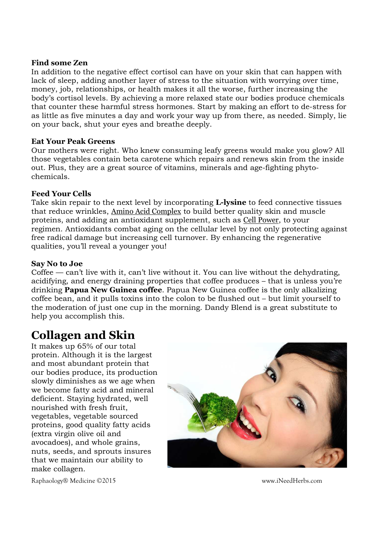### **Find some Zen**

In addition to the negative effect cortisol can have on your skin that can happen with lack of sleep, adding another layer of stress to the situation with worrying over time, money, job, relationships, or health makes it all the worse, further increasing the body's cortisol levels. By achieving a more relaxed state our bodies produce chemicals that counter these harmful stress hormones. Start by making an effort to de-stress for as little as five minutes a day and work your way up from there, as needed. Simply, lie on your back, shut your eyes and breathe deeply.

### **Eat Your Peak Greens**

Our mothers were right. Who knew consuming leafy greens would make you glow? All those vegetables contain beta carotene which repairs and renews skin from the inside out. Plus, they are a great source of vitamins, minerals and age-fighting phytochemicals.

### **Feed Your Cells**

Take skin repair to the next level by incorporating **L-lysine** to feed connective tissues that reduce wrinkles, Amino Acid Complex to build better quality skin and muscle proteins, and adding an antioxidant supplement, such as Cell Power, to your regimen. Antioxidants combat aging on the cellular level by not only protecting against free radical damage but increasing cell turnover. By enhancing the regenerative qualities, you'll reveal a younger you!

### **Say No to Joe**

Coffee — can't live with it, can't live without it. You can live without the dehydrating, acidifying, and energy draining properties that coffee produces – that is unless you're drinking **Papua New Guinea coffee**. Papua New Guinea coffee is the only alkalizing coffee bean, and it pulls toxins into the colon to be flushed out – but limit yourself to the moderation of just one cup in the morning. Dandy Blend is a great substitute to help you accomplish this.

# **Collagen and Skin**

It makes up 65% of our total protein. Although it is the largest and most abundant protein that our bodies produce, its production slowly diminishes as we age when we become fatty acid and mineral deficient. Staying hydrated, well nourished with fresh fruit, vegetables, vegetable sourced proteins, good quality fatty acids (extra virgin olive oil and avocadoes), and whole grains, nuts, seeds, and sprouts insures that we maintain our ability to make collagen.



Raphaology® Medicine ©2015 www.iNeedHerbs.com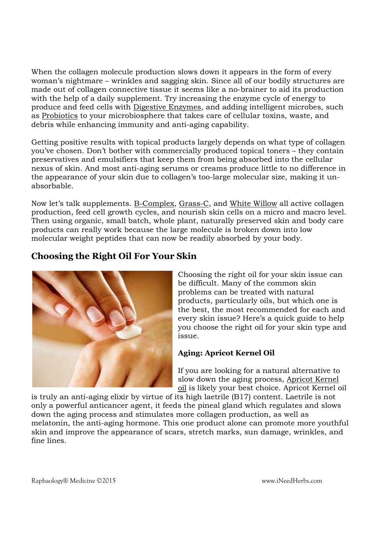When the collagen molecule production slows down it appears in the form of every woman's nightmare – wrinkles and sagging skin. Since all of our bodily structures are made out of collagen connective tissue it seems like a no-brainer to aid its production with the help of a daily supplement. Try increasing the enzyme cycle of energy to produce and feed cells with Digestive Enzymes, and adding intelligent microbes, such as Probiotics to your microbiosphere that takes care of cellular toxins, waste, and debris while enhancing immunity and anti-aging capability.

Getting positive results with topical products largely depends on what type of collagen you've chosen. Don't bother with commercially produced topical toners – they contain preservatives and emulsifiers that keep them from being absorbed into the cellular nexus of skin. And most anti-aging serums or creams produce little to no difference in the appearance of your skin due to collagen's too-large molecular size, making it unabsorbable.

Now let's talk supplements. B-Complex, Grass-C, and White Willow all active collagen production, feed cell growth cycles, and nourish skin cells on a micro and macro level. Then using organic, small batch, whole plant, naturally preserved skin and body care products can really work because the large molecule is broken down into low molecular weight peptides that can now be readily absorbed by your body.

# **Choosing the Right Oil For Your Skin**



Choosing the right oil for your skin issue can be difficult. Many of the common skin problems can be treated with natural products, particularly oils, but which one is the best, the most recommended for each and every skin issue? Here's a quick guide to help you choose the right oil for your skin type and issue.

## **Aging: Apricot Kernel Oil**

If you are looking for a natural alternative to slow down the aging process, Apricot Kernel oil is likely your best choice. Apricot Kernel oil

is truly an anti-aging elixir by virtue of its high laetrile (B17) content. Laetrile is not only a powerful anticancer agent, it feeds the pineal gland which regulates and slows down the aging process and stimulates more collagen production, as well as melatonin, the anti-aging hormone. This one product alone can promote more youthful skin and improve the appearance of scars, stretch marks, sun damage, wrinkles, and fine lines.